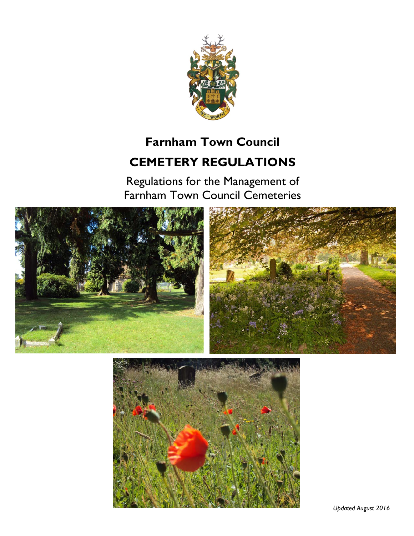

# **Farnham Town Council CEMETERY REGULATIONS**

Regulations for the Management of Farnham Town Council Cemeteries



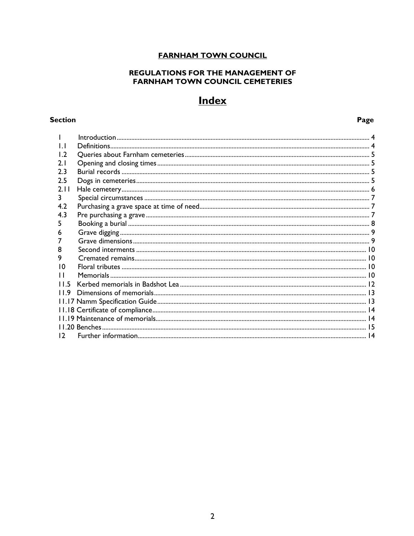## **FARNHAM TOWN COUNCIL**

## **REGULATIONS FOR THE MANAGEMENT OF FARNHAM TOWN COUNCIL CEMETERIES**

## **Index**

## **Section**

Page

| $\mathsf{L}$   |  |
|----------------|--|
| $\overline{1}$ |  |
| 2.1            |  |
| 2.3            |  |
| 2.5            |  |
| 2.11           |  |
| 3              |  |
| 4.2            |  |
| 4.3            |  |
| 5              |  |
| 6              |  |
|                |  |
| 8              |  |
| 9              |  |
| 10             |  |
| П              |  |
| 115            |  |
| 119            |  |
|                |  |
|                |  |
|                |  |
|                |  |
| 12             |  |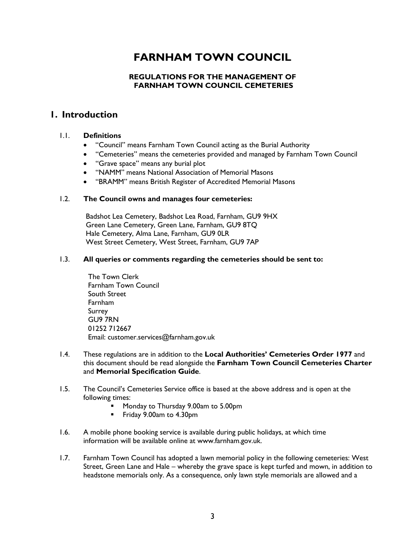## **FARNHAM TOWN COUNCIL**

## **REGULATIONS FOR THE MANAGEMENT OF FARNHAM TOWN COUNCIL CEMETERIES**

## **1. Introduction**

## 1.1. **Definitions**

- "Council" means Farnham Town Council acting as the Burial Authority
- "Cemeteries" means the cemeteries provided and managed by Farnham Town Council
- "Grave space" means any burial plot
- "NAMM" means National Association of Memorial Masons
- "BRAMM" means British Register of Accredited Memorial Masons

#### 1.2. **The Council owns and manages four cemeteries:**

Badshot Lea Cemetery, Badshot Lea Road, Farnham, GU9 9HX Green Lane Cemetery, Green Lane, Farnham, GU9 8TQ Hale Cemetery, Alma Lane, Farnham, GU9 0LR West Street Cemetery, West Street, Farnham, GU9 7AP

#### 1.3. **All queries or comments regarding the cemeteries should be sent to:**

The Town Clerk Farnham Town Council South Street Farnham Surrey GU9 7RN 01252 712667 Email: customer.services@farnham.gov.uk

- 1.4. These regulations are in addition to the **Local Authorities' Cemeteries Order 1977** and this document should be read alongside the **Farnham Town Council Cemeteries Charter** and **Memorial Specification Guide**.
- 1.5. The Council's Cemeteries Service office is based at the above address and is open at the following times:
	- Monday to Thursday 9.00am to 5.00pm
	- Friday 9.00am to 4.30pm
- 1.6. A mobile phone booking service is available during public holidays, at which time information will be available online at www.farnham.gov.uk.
- 1.7. Farnham Town Council has adopted a lawn memorial policy in the following cemeteries: West Street, Green Lane and Hale – whereby the grave space is kept turfed and mown, in addition to headstone memorials only. As a consequence, only lawn style memorials are allowed and a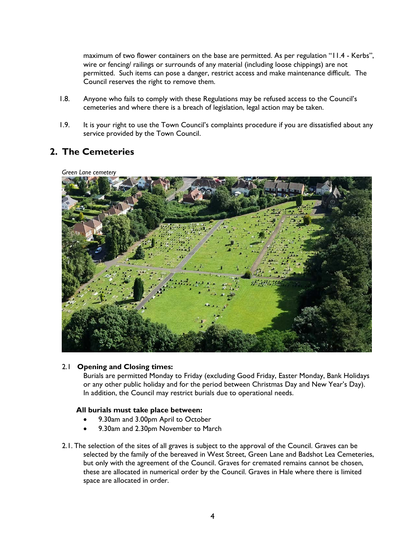maximum of two flower containers on the base are permitted. As per regulation "11.4 - Kerbs", wire or fencing/ railings or surrounds of any material (including loose chippings) are not permitted. Such items can pose a danger, restrict access and make maintenance difficult. The Council reserves the right to remove them.

- 1.8. Anyone who fails to comply with these Regulations may be refused access to the Council's cemeteries and where there is a breach of legislation, legal action may be taken.
- 1.9. It is your right to use the Town Council's complaints procedure if you are dissatisfied about any service provided by the Town Council.

## **2. The Cemeteries**



## 2.1 **Opening and Closing times:**

Burials are permitted Monday to Friday (excluding Good Friday, Easter Monday, Bank Holidays or any other public holiday and for the period between Christmas Day and New Year's Day). In addition, the Council may restrict burials due to operational needs.

#### **All burials must take place between:**

- 9.30am and 3.00pm April to October
- 9.30am and 2.30pm November to March
- 2.1. The selection of the sites of all graves is subject to the approval of the Council. Graves can be selected by the family of the bereaved in West Street, Green Lane and Badshot Lea Cemeteries, but only with the agreement of the Council. Graves for cremated remains cannot be chosen, these are allocated in numerical order by the Council. Graves in Hale where there is limited space are allocated in order.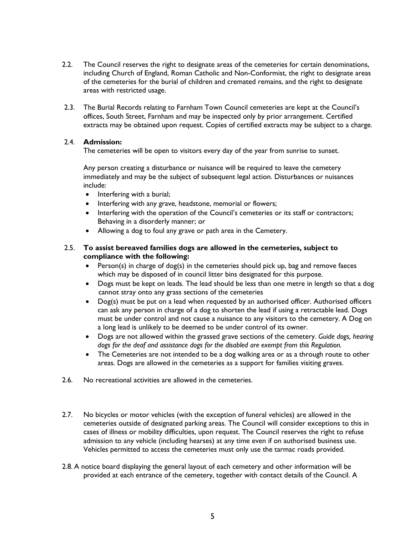- 2.2. The Council reserves the right to designate areas of the cemeteries for certain denominations, including Church of England, Roman Catholic and Non-Conformist, the right to designate areas of the cemeteries for the burial of children and cremated remains, and the right to designate areas with restricted usage.
- 2.3. The Burial Records relating to Farnham Town Council cemeteries are kept at the Council's offices, South Street, Farnham and may be inspected only by prior arrangement. Certified extracts may be obtained upon request. Copies of certified extracts may be subject to a charge.

## 2.4. **Admission:**

The cemeteries will be open to visitors every day of the year from sunrise to sunset.

Any person creating a disturbance or nuisance will be required to leave the cemetery immediately and may be the subject of subsequent legal action. Disturbances or nuisances include:

- Interfering with a burial;
- Interfering with any grave, headstone, memorial or flowers;
- Interfering with the operation of the Council's cemeteries or its staff or contractors; Behaving in a disorderly manner; or
- Allowing a dog to foul any grave or path area in the Cemetery.

## 2.5. **To assist bereaved families dogs are allowed in the cemeteries, subject to compliance with the following:**

- Person(s) in charge of dog(s) in the cemeteries should pick up, bag and remove faeces which may be disposed of in council litter bins designated for this purpose.
- Dogs must be kept on leads. The lead should be less than one metre in length so that a dog cannot stray onto any grass sections of the cemeteries
- Dog(s) must be put on a lead when requested by an authorised officer. Authorised officers can ask any person in charge of a dog to shorten the lead if using a retractable lead. Dogs must be under control and not cause a nuisance to any visitors to the cemetery. A Dog on a long lead is unlikely to be deemed to be under control of its owner.
- Dogs are not allowed within the grassed grave sections of the cemetery. *Guide dogs, hearing dogs for the deaf and assistance dogs for the disabled are exempt from this Regulation.*
- The Cemeteries are not intended to be a dog walking area or as a through route to other areas. Dogs are allowed in the cemeteries as a support for families visiting graves.
- 2.6. No recreational activities are allowed in the cemeteries.
- 2.7. No bicycles or motor vehicles (with the exception of funeral vehicles) are allowed in the cemeteries outside of designated parking areas. The Council will consider exceptions to this in cases of illness or mobility difficulties, upon request. The Council reserves the right to refuse admission to any vehicle (including hearses) at any time even if on authorised business use. Vehicles permitted to access the cemeteries must only use the tarmac roads provided.
- 2.8. A notice board displaying the general layout of each cemetery and other information will be provided at each entrance of the cemetery, together with contact details of the Council. A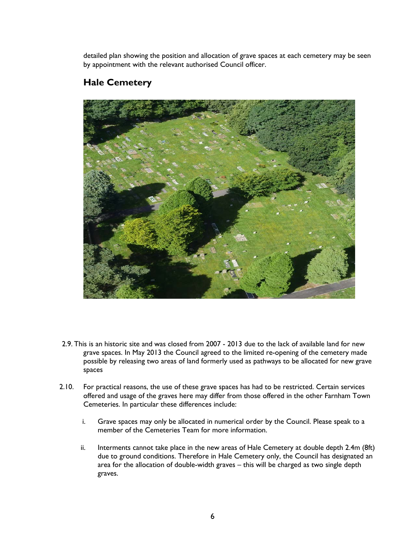detailed plan showing the position and allocation of grave spaces at each cemetery may be seen by appointment with the relevant authorised Council officer.

## **Hale Cemetery**



- 2.9. This is an historic site and was closed from 2007 2013 due to the lack of available land for new grave spaces. In May 2013 the Council agreed to the limited re-opening of the cemetery made possible by releasing two areas of land formerly used as pathways to be allocated for new grave spaces
- 2.10. For practical reasons, the use of these grave spaces has had to be restricted. Certain services offered and usage of the graves here may differ from those offered in the other Farnham Town Cemeteries. In particular these differences include:
	- i. Grave spaces may only be allocated in numerical order by the Council. Please speak to a member of the Cemeteries Team for more information.
	- ii. Interments cannot take place in the new areas of Hale Cemetery at double depth 2.4m (8ft) due to ground conditions. Therefore in Hale Cemetery only, the Council has designated an area for the allocation of double-width graves – this will be charged as two single depth graves.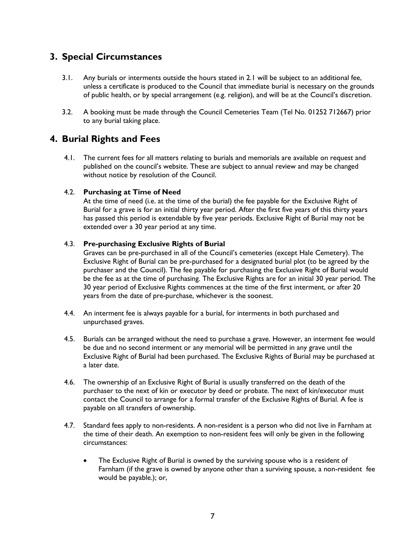## **3. Special Circumstances**

- 3.1. Any burials or interments outside the hours stated in 2.1 will be subject to an additional fee, unless a certificate is produced to the Council that immediate burial is necessary on the grounds of public health, or by special arrangement (e.g. religion), and will be at the Council's discretion.
- 3.2. A booking must be made through the Council Cemeteries Team (Tel No. 01252 712667) prior to any burial taking place.

## **4. Burial Rights and Fees**

4.1. The current fees for all matters relating to burials and memorials are available on request and published on the council's website. These are subject to annual review and may be changed without notice by resolution of the Council.

## 4.2. **Purchasing at Time of Need**

At the time of need (i.e. at the time of the burial) the fee payable for the Exclusive Right of Burial for a grave is for an initial thirty year period. After the first five years of this thirty years has passed this period is extendable by five year periods. Exclusive Right of Burial may not be extended over a 30 year period at any time.

## 4.3. **Pre-purchasing Exclusive Rights of Burial**

Graves can be pre-purchased in all of the Council's cemeteries (except Hale Cemetery). The Exclusive Right of Burial can be pre-purchased for a designated burial plot (to be agreed by the purchaser and the Council). The fee payable for purchasing the Exclusive Right of Burial would be the fee as at the time of purchasing. The Exclusive Rights are for an initial 30 year period. The 30 year period of Exclusive Rights commences at the time of the first interment, or after 20 years from the date of pre-purchase, whichever is the soonest.

- 4.4. An interment fee is always payable for a burial, for interments in both purchased and unpurchased graves.
- 4.5. Burials can be arranged without the need to purchase a grave. However, an interment fee would be due and no second interment or any memorial will be permitted in any grave until the Exclusive Right of Burial had been purchased. The Exclusive Rights of Burial may be purchased at a later date.
- 4.6. The ownership of an Exclusive Right of Burial is usually transferred on the death of the purchaser to the next of kin or executor by deed or probate. The next of kin/executor must contact the Council to arrange for a formal transfer of the Exclusive Rights of Burial. A fee is payable on all transfers of ownership.
- 4.7. Standard fees apply to non-residents. A non-resident is a person who did not live in Farnham at the time of their death. An exemption to non-resident fees will only be given in the following circumstances:
	- The Exclusive Right of Burial is owned by the surviving spouse who is a resident of Farnham (if the grave is owned by anyone other than a surviving spouse, a non-resident fee would be payable.); or,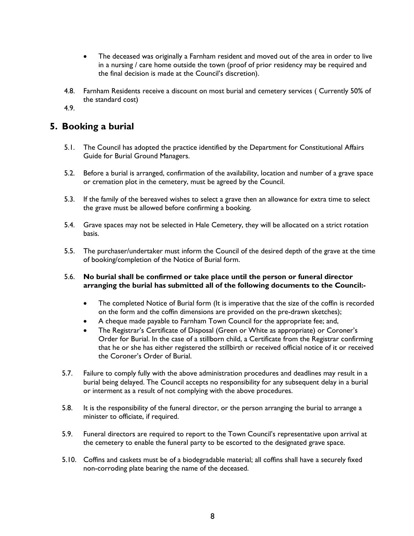- The deceased was originally a Farnham resident and moved out of the area in order to live in a nursing / care home outside the town (proof of prior residency may be required and the final decision is made at the Council's discretion).
- 4.8. Farnham Residents receive a discount on most burial and cemetery services ( Currently 50% of the standard cost)

4.9.

## **5. Booking a burial**

- 5.1. The Council has adopted the practice identified by the Department for Constitutional Affairs Guide for Burial Ground Managers.
- 5.2. Before a burial is arranged, confirmation of the availability, location and number of a grave space or cremation plot in the cemetery, must be agreed by the Council.
- 5.3. If the family of the bereaved wishes to select a grave then an allowance for extra time to select the grave must be allowed before confirming a booking.
- 5.4. Grave spaces may not be selected in Hale Cemetery, they will be allocated on a strict rotation basis.
- 5.5. The purchaser/undertaker must inform the Council of the desired depth of the grave at the time of booking/completion of the Notice of Burial form.

## 5.6. **No burial shall be confirmed or take place until the person or funeral director arranging the burial has submitted all of the following documents to the Council:-**

- The completed Notice of Burial form (It is imperative that the size of the coffin is recorded on the form and the coffin dimensions are provided on the pre-drawn sketches);
- A cheque made payable to Farnham Town Council for the appropriate fee; and,
- The Registrar's Certificate of Disposal (Green or White as appropriate) or Coroner's Order for Burial. In the case of a stillborn child, a Certificate from the Registrar confirming that he or she has either registered the stillbirth or received official notice of it or received the Coroner's Order of Burial.
- 5.7. Failure to comply fully with the above administration procedures and deadlines may result in a burial being delayed. The Council accepts no responsibility for any subsequent delay in a burial or interment as a result of not complying with the above procedures.
- 5.8. It is the responsibility of the funeral director, or the person arranging the burial to arrange a minister to officiate, if required.
- 5.9. Funeral directors are required to report to the Town Council's representative upon arrival at the cemetery to enable the funeral party to be escorted to the designated grave space.
- 5.10. Coffins and caskets must be of a biodegradable material; all coffins shall have a securely fixed non-corroding plate bearing the name of the deceased.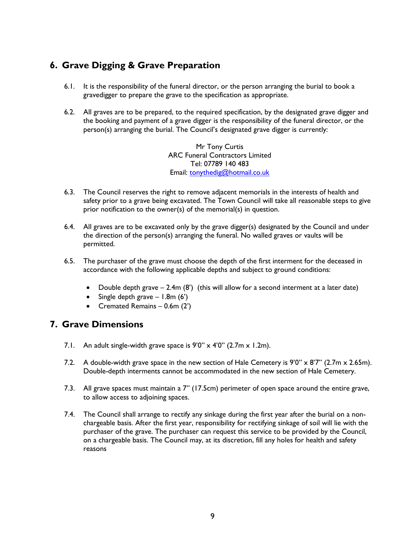## **6. Grave Digging & Grave Preparation**

- 6.1. It is the responsibility of the funeral director, or the person arranging the burial to book a gravedigger to prepare the grave to the specification as appropriate.
- 6.2. All graves are to be prepared, to the required specification, by the designated grave digger and the booking and payment of a grave digger is the responsibility of the funeral director, or the person(s) arranging the burial. The Council's designated grave digger is currently:

Mr Tony Curtis ARC Funeral Contractors Limited Tel: 07789 140 483 Email: [tonythedig@hotmail.co.uk](mailto:tonythedig@hotmail.co.uk)

- 6.3. The Council reserves the right to remove adjacent memorials in the interests of health and safety prior to a grave being excavated. The Town Council will take all reasonable steps to give prior notification to the owner(s) of the memorial(s) in question.
- 6.4. All graves are to be excavated only by the grave digger(s) designated by the Council and under the direction of the person(s) arranging the funeral. No walled graves or vaults will be permitted.
- 6.5. The purchaser of the grave must choose the depth of the first interment for the deceased in accordance with the following applicable depths and subject to ground conditions:
	- Double depth grave  $-$  2.4m (8') (this will allow for a second interment at a later date)
	- Single depth grave  $-1.8$ m (6')
	- Cremated Remains 0.6m (2')

## **7. Grave Dimensions**

- 7.1. An adult single-width grave space is  $9'0'' \times 4'0''$  (2.7m  $\times$  1.2m).
- 7.2. A double-width grave space in the new section of Hale Cemetery is  $9'0'' \times 8'7''$  (2.7m  $\times$  2.65m). Double-depth interments cannot be accommodated in the new section of Hale Cemetery.
- 7.3. All grave spaces must maintain a 7" (17.5cm) perimeter of open space around the entire grave, to allow access to adjoining spaces.
- 7.4. The Council shall arrange to rectify any sinkage during the first year after the burial on a nonchargeable basis. After the first year, responsibility for rectifying sinkage of soil will lie with the purchaser of the grave. The purchaser can request this service to be provided by the Council, on a chargeable basis. The Council may, at its discretion, fill any holes for health and safety reasons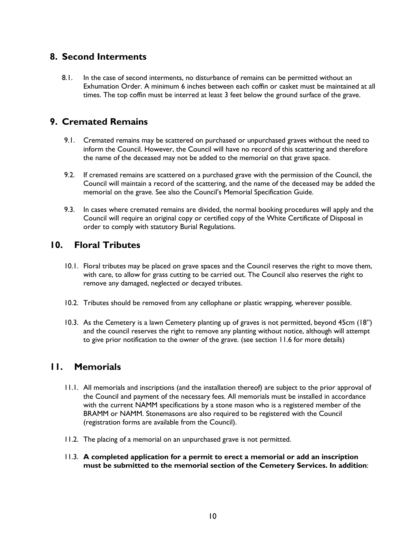## **8. Second Interments**

8.1. In the case of second interments, no disturbance of remains can be permitted without an Exhumation Order. A minimum 6 inches between each coffin or casket must be maintained at all times. The top coffin must be interred at least 3 feet below the ground surface of the grave.

## **9. Cremated Remains**

- 9.1. Cremated remains may be scattered on purchased or unpurchased graves without the need to inform the Council. However, the Council will have no record of this scattering and therefore the name of the deceased may not be added to the memorial on that grave space.
- 9.2. If cremated remains are scattered on a purchased grave with the permission of the Council, the Council will maintain a record of the scattering, and the name of the deceased may be added the memorial on the grave. See also the Council's Memorial Specification Guide.
- 9.3. In cases where cremated remains are divided, the normal booking procedures will apply and the Council will require an original copy or certified copy of the White Certificate of Disposal in order to comply with statutory Burial Regulations.

## **10. Floral Tributes**

- 10.1. Floral tributes may be placed on grave spaces and the Council reserves the right to move them, with care, to allow for grass cutting to be carried out. The Council also reserves the right to remove any damaged, neglected or decayed tributes.
- 10.2. Tributes should be removed from any cellophane or plastic wrapping, wherever possible.
- 10.3. As the Cemetery is a lawn Cemetery planting up of graves is not permitted, beyond 45cm (18") and the council reserves the right to remove any planting without notice, although will attempt to give prior notification to the owner of the grave. (see section 11.6 for more details)

## **11. Memorials**

- 11.1. All memorials and inscriptions (and the installation thereof) are subject to the prior approval of the Council and payment of the necessary fees. All memorials must be installed in accordance with the current NAMM specifications by a stone mason who is a registered member of the BRAMM or NAMM. Stonemasons are also required to be registered with the Council (registration forms are available from the Council).
- 11.2. The placing of a memorial on an unpurchased grave is not permitted.
- 11.3. **A completed application for a permit to erect a memorial or add an inscription must be submitted to the memorial section of the Cemetery Services. In addition**: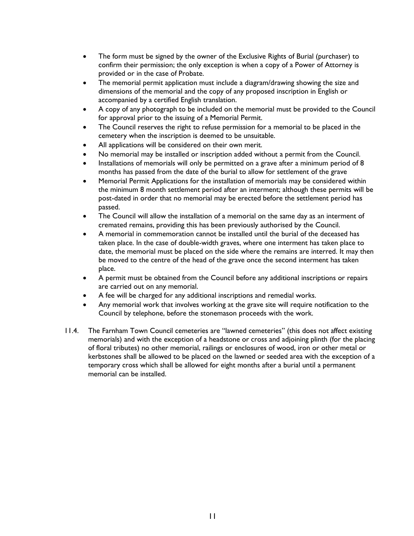- The form must be signed by the owner of the Exclusive Rights of Burial (purchaser) to confirm their permission; the only exception is when a copy of a Power of Attorney is provided or in the case of Probate.
- The memorial permit application must include a diagram/drawing showing the size and dimensions of the memorial and the copy of any proposed inscription in English or accompanied by a certified English translation.
- A copy of any photograph to be included on the memorial must be provided to the Council for approval prior to the issuing of a Memorial Permit.
- The Council reserves the right to refuse permission for a memorial to be placed in the cemetery when the inscription is deemed to be unsuitable.
- All applications will be considered on their own merit.
- No memorial may be installed or inscription added without a permit from the Council.
- Installations of memorials will only be permitted on a grave after a minimum period of 8 months has passed from the date of the burial to allow for settlement of the grave
- Memorial Permit Applications for the installation of memorials may be considered within the minimum 8 month settlement period after an interment; although these permits will be post-dated in order that no memorial may be erected before the settlement period has passed.
- The Council will allow the installation of a memorial on the same day as an interment of cremated remains, providing this has been previously authorised by the Council.
- A memorial in commemoration cannot be installed until the burial of the deceased has taken place. In the case of double-width graves, where one interment has taken place to date, the memorial must be placed on the side where the remains are interred. It may then be moved to the centre of the head of the grave once the second interment has taken place.
- A permit must be obtained from the Council before any additional inscriptions or repairs are carried out on any memorial.
- A fee will be charged for any additional inscriptions and remedial works.
- Any memorial work that involves working at the grave site will require notification to the Council by telephone, before the stonemason proceeds with the work.
- 11.4. The Farnham Town Council cemeteries are "lawned cemeteries" (this does not affect existing memorials) and with the exception of a headstone or cross and adjoining plinth (for the placing of floral tributes) no other memorial, railings or enclosures of wood, iron or other metal or kerbstones shall be allowed to be placed on the lawned or seeded area with the exception of a temporary cross which shall be allowed for eight months after a burial until a permanent memorial can be installed.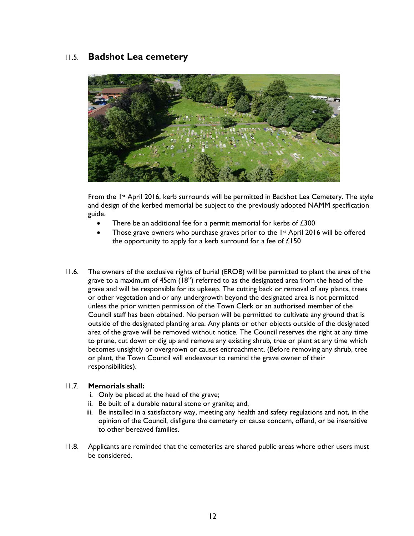## 11.5. **Badshot Lea cemetery**



From the 1st April 2016, kerb surrounds will be permitted in Badshot Lea Cemetery. The style and design of the kerbed memorial be subject to the previously adopted NAMM specification guide.

- There be an additional fee for a permit memorial for kerbs of  $£300$
- Those grave owners who purchase graves prior to the  $1st$  April 2016 will be offered the opportunity to apply for a kerb surround for a fee of  $£150$
- 11.6. The owners of the exclusive rights of burial (EROB) will be permitted to plant the area of the grave to a maximum of 45cm (18") referred to as the designated area from the head of the grave and will be responsible for its upkeep. The cutting back or removal of any plants, trees or other vegetation and or any undergrowth beyond the designated area is not permitted unless the prior written permission of the Town Clerk or an authorised member of the Council staff has been obtained. No person will be permitted to cultivate any ground that is outside of the designated planting area. Any plants or other objects outside of the designated area of the grave will be removed without notice. The Council reserves the right at any time to prune, cut down or dig up and remove any existing shrub, tree or plant at any time which becomes unsightly or overgrown or causes encroachment. (Before removing any shrub, tree or plant, the Town Council will endeavour to remind the grave owner of their responsibilities).

## 11.7. **Memorials shall:**

- i. Only be placed at the head of the grave;
- ii. Be built of a durable natural stone or granite; and,
- iii. Be installed in a satisfactory way, meeting any health and safety regulations and not, in the opinion of the Council, disfigure the cemetery or cause concern, offend, or be insensitive to other bereaved families.
- 11.8. Applicants are reminded that the cemeteries are shared public areas where other users must be considered.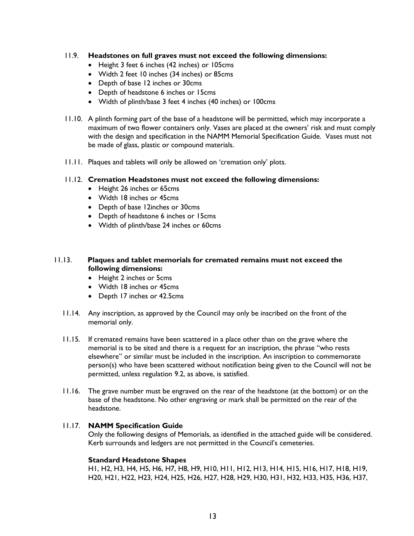## 11.9. **Headstones on full graves must not exceed the following dimensions:**

- Height 3 feet 6 inches (42 inches) or 105cms
- Width 2 feet 10 inches (34 inches) or 85cms
- Depth of base 12 inches or 30cms
- Depth of headstone 6 inches or 15cms
- Width of plinth/base 3 feet 4 inches (40 inches) or 100cms
- 11.10. A plinth forming part of the base of a headstone will be permitted, which may incorporate a maximum of two flower containers only. Vases are placed at the owners' risk and must comply with the design and specification in the NAMM Memorial Specification Guide. Vases must not be made of glass, plastic or compound materials.
- 11.11. Plaques and tablets will only be allowed on 'cremation only' plots.

#### 11.12. **Cremation Headstones must not exceed the following dimensions:**

- Height 26 inches or 65cms
- Width 18 inches or 45cms
- Depth of base 12inches or 30cms
- Depth of headstone 6 inches or 15cms
- Width of plinth/base 24 inches or 60cms

## 11.13. **Plaques and tablet memorials for cremated remains must not exceed the following dimensions:**

- Height 2 inches or 5cms
- Width 18 inches or 45cms
- Depth 17 inches or 42.5cms
- 11.14. Any inscription, as approved by the Council may only be inscribed on the front of the memorial only.
- 11.15. If cremated remains have been scattered in a place other than on the grave where the memorial is to be sited and there is a request for an inscription, the phrase "who rests elsewhere" or similar must be included in the inscription. An inscription to commemorate person(s) who have been scattered without notification being given to the Council will not be permitted, unless regulation 9.2, as above, is satisfied.
- 11.16. The grave number must be engraved on the rear of the headstone (at the bottom) or on the base of the headstone. No other engraving or mark shall be permitted on the rear of the headstone.

#### 11.17. **NAMM Specification Guide**

Only the following designs of Memorials, as identified in the attached guide will be considered. Kerb surrounds and ledgers are not permitted in the Council's cemeteries.

#### **Standard Headstone Shapes**

H1, H2, H3, H4, H5, H6, H7, H8, H9, H10, H11, H12, H13, H14, H15, H16, H17, H18, H19, H20, H21, H22, H23, H24, H25, H26, H27, H28, H29, H30, H31, H32, H33, H35, H36, H37,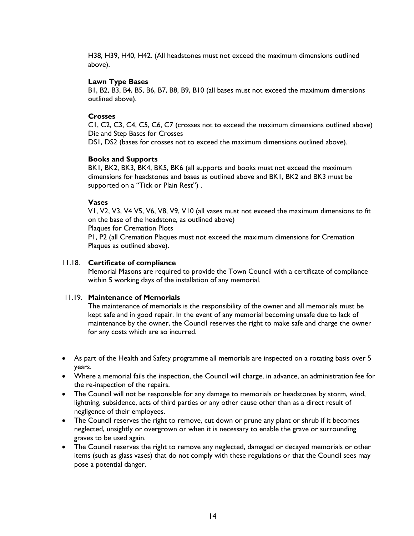H38, H39, H40, H42. (All headstones must not exceed the maximum dimensions outlined above).

#### **Lawn Type Bases**

B1, B2, B3, B4, B5, B6, B7, B8, B9, B10 (all bases must not exceed the maximum dimensions outlined above).

#### **Crosses**

C1, C2, C3, C4, C5, C6, C7 (crosses not to exceed the maximum dimensions outlined above) Die and Step Bases for Crosses

DS1, DS2 (bases for crosses not to exceed the maximum dimensions outlined above).

#### **Books and Supports**

BK1, BK2, BK3, BK4, BK5, BK6 (all supports and books must not exceed the maximum dimensions for headstones and bases as outlined above and BK1, BK2 and BK3 must be supported on a "Tick or Plain Rest") .

#### **Vases**

V1, V2, V3, V4 V5, V6, V8, V9, V10 (all vases must not exceed the maximum dimensions to fit on the base of the headstone, as outlined above)

Plaques for Cremation Plots

P1, P2 (all Cremation Plaques must not exceed the maximum dimensions for Cremation Plaques as outlined above).

#### 11.18. **Certificate of compliance**

Memorial Masons are required to provide the Town Council with a certificate of compliance within 5 working days of the installation of any memorial.

#### 11.19. **Maintenance of Memorials**

The maintenance of memorials is the responsibility of the owner and all memorials must be kept safe and in good repair. In the event of any memorial becoming unsafe due to lack of maintenance by the owner, the Council reserves the right to make safe and charge the owner for any costs which are so incurred.

- As part of the Health and Safety programme all memorials are inspected on a rotating basis over 5 years.
- Where a memorial fails the inspection, the Council will charge, in advance, an administration fee for the re-inspection of the repairs.
- The Council will not be responsible for any damage to memorials or headstones by storm, wind, lightning, subsidence, acts of third parties or any other cause other than as a direct result of negligence of their employees.
- The Council reserves the right to remove, cut down or prune any plant or shrub if it becomes neglected, unsightly or overgrown or when it is necessary to enable the grave or surrounding graves to be used again.
- The Council reserves the right to remove any neglected, damaged or decayed memorials or other items (such as glass vases) that do not comply with these regulations or that the Council sees may pose a potential danger.